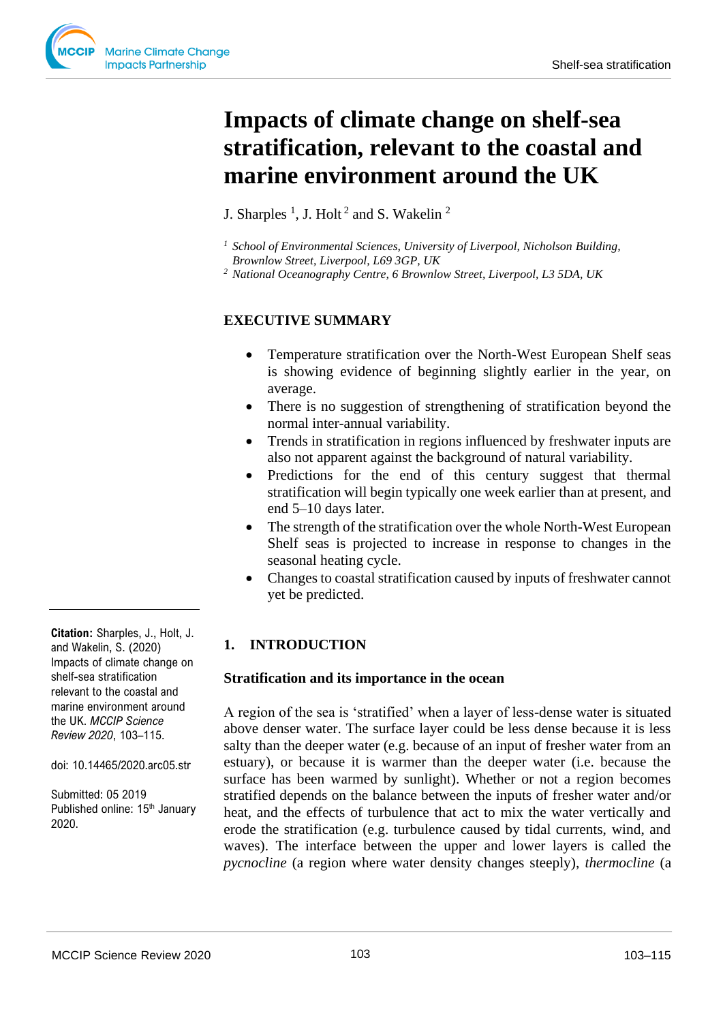# **Impacts of climate change on shelf-sea stratification, relevant to the coastal and marine environment around the UK**

J. Sharples<sup>1</sup>, J. Holt<sup>2</sup> and S. Wakelin<sup>2</sup>

- *<sup>1</sup> School of Environmental Sciences, University of Liverpool, Nicholson Building, Brownlow Street, Liverpool, L69 3GP, UK*
- *<sup>2</sup> National Oceanography Centre, 6 Brownlow Street, Liverpool, L3 5DA, UK*

# **EXECUTIVE SUMMARY**

- Temperature stratification over the North-West European Shelf seas is showing evidence of beginning slightly earlier in the year, on average.
- There is no suggestion of strengthening of stratification beyond the normal inter-annual variability.
- Trends in stratification in regions influenced by freshwater inputs are also not apparent against the background of natural variability.
- Predictions for the end of this century suggest that thermal stratification will begin typically one week earlier than at present, and end 5–10 days later.
- The strength of the stratification over the whole North-West European Shelf seas is projected to increase in response to changes in the seasonal heating cycle.
- Changes to coastal stratification caused by inputs of freshwater cannot yet be predicted.

# **1. INTRODUCTION**

#### **Stratification and its importance in the ocean**

A region of the sea is 'stratified' when a layer of less-dense water is situated above denser water. The surface layer could be less dense because it is less salty than the deeper water (e.g. because of an input of fresher water from an estuary), or because it is warmer than the deeper water (i.e. because the surface has been warmed by sunlight). Whether or not a region becomes stratified depends on the balance between the inputs of fresher water and/or heat, and the effects of turbulence that act to mix the water vertically and erode the stratification (e.g. turbulence caused by tidal currents, wind, and waves). The interface between the upper and lower layers is called the *pycnocline* (a region where water density changes steeply), *thermocline* (a

**Citation:** Sharples, J., Holt, J. and Wakelin, S. (2020) Impacts of climate change on shelf-sea stratification relevant to the coastal and marine environment around the UK. *MCCIP Science Review 2020*, 103–115.

doi: 10.14465/2020.arc05.str

Submitted: 05 2019 Published online: 15<sup>th</sup> January 2020.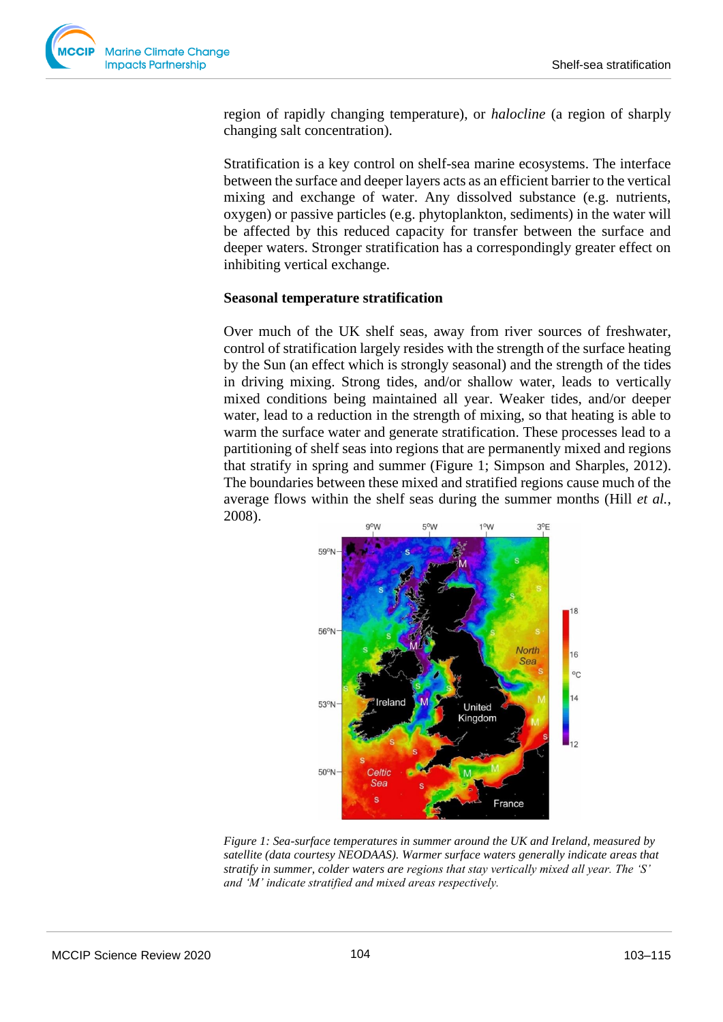

region of rapidly changing temperature), or *halocline* (a region of sharply changing salt concentration).

Stratification is a key control on shelf-sea marine ecosystems. The interface between the surface and deeper layers acts as an efficient barrier to the vertical mixing and exchange of water. Any dissolved substance (e.g. nutrients, oxygen) or passive particles (e.g. phytoplankton, sediments) in the water will be affected by this reduced capacity for transfer between the surface and deeper waters. Stronger stratification has a correspondingly greater effect on inhibiting vertical exchange.

#### **Seasonal temperature stratification**

Over much of the UK shelf seas, away from river sources of freshwater, control of stratification largely resides with the strength of the surface heating by the Sun (an effect which is strongly seasonal) and the strength of the tides in driving mixing. Strong tides, and/or shallow water, leads to vertically mixed conditions being maintained all year. Weaker tides, and/or deeper water, lead to a reduction in the strength of mixing, so that heating is able to warm the surface water and generate stratification. These processes lead to a partitioning of shelf seas into regions that are permanently mixed and regions that stratify in spring and summer (Figure 1; Simpson and Sharples, 2012). The boundaries between these mixed and stratified regions cause much of the average flows within the shelf seas during the summer months (Hill *et al.*, 2008).



*Figure 1: Sea-surface temperatures in summer around the UK and Ireland, measured by satellite (data courtesy NEODAAS). Warmer surface waters generally indicate areas that stratify in summer, colder waters are regions that stay vertically mixed all year. The 'S' and 'M' indicate stratified and mixed areas respectively.*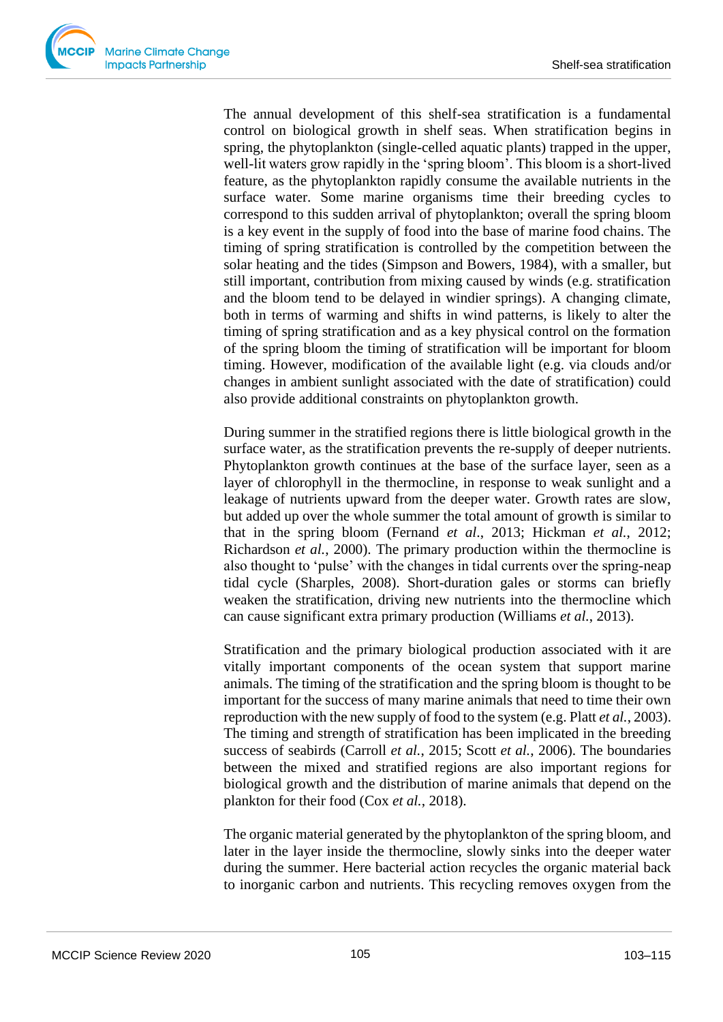

The annual development of this shelf-sea stratification is a fundamental control on biological growth in shelf seas. When stratification begins in spring, the phytoplankton (single-celled aquatic plants) trapped in the upper, well-lit waters grow rapidly in the 'spring bloom'. This bloom is a short-lived feature, as the phytoplankton rapidly consume the available nutrients in the surface water. Some marine organisms time their breeding cycles to correspond to this sudden arrival of phytoplankton; overall the spring bloom is a key event in the supply of food into the base of marine food chains. The timing of spring stratification is controlled by the competition between the solar heating and the tides (Simpson and Bowers, 1984), with a smaller, but still important, contribution from mixing caused by winds (e.g. stratification and the bloom tend to be delayed in windier springs). A changing climate, both in terms of warming and shifts in wind patterns, is likely to alter the timing of spring stratification and as a key physical control on the formation of the spring bloom the timing of stratification will be important for bloom timing. However, modification of the available light (e.g. via clouds and/or changes in ambient sunlight associated with the date of stratification) could also provide additional constraints on phytoplankton growth.

During summer in the stratified regions there is little biological growth in the surface water, as the stratification prevents the re-supply of deeper nutrients. Phytoplankton growth continues at the base of the surface layer, seen as a layer of chlorophyll in the thermocline, in response to weak sunlight and a leakage of nutrients upward from the deeper water. Growth rates are slow, but added up over the whole summer the total amount of growth is similar to that in the spring bloom (Fernand *et al*., 2013; Hickman *et al.*, 2012; Richardson *et al.*, 2000). The primary production within the thermocline is also thought to 'pulse' with the changes in tidal currents over the spring-neap tidal cycle (Sharples, 2008). Short-duration gales or storms can briefly weaken the stratification, driving new nutrients into the thermocline which can cause significant extra primary production (Williams *et al.*, 2013).

Stratification and the primary biological production associated with it are vitally important components of the ocean system that support marine animals. The timing of the stratification and the spring bloom is thought to be important for the success of many marine animals that need to time their own reproduction with the new supply of food to the system (e.g. Platt *et al.*, 2003). The timing and strength of stratification has been implicated in the breeding success of seabirds (Carroll *et al.*, 2015; Scott *et al.*, 2006). The boundaries between the mixed and stratified regions are also important regions for biological growth and the distribution of marine animals that depend on the plankton for their food (Cox *et al.*, 2018).

The organic material generated by the phytoplankton of the spring bloom, and later in the layer inside the thermocline, slowly sinks into the deeper water during the summer. Here bacterial action recycles the organic material back to inorganic carbon and nutrients. This recycling removes oxygen from the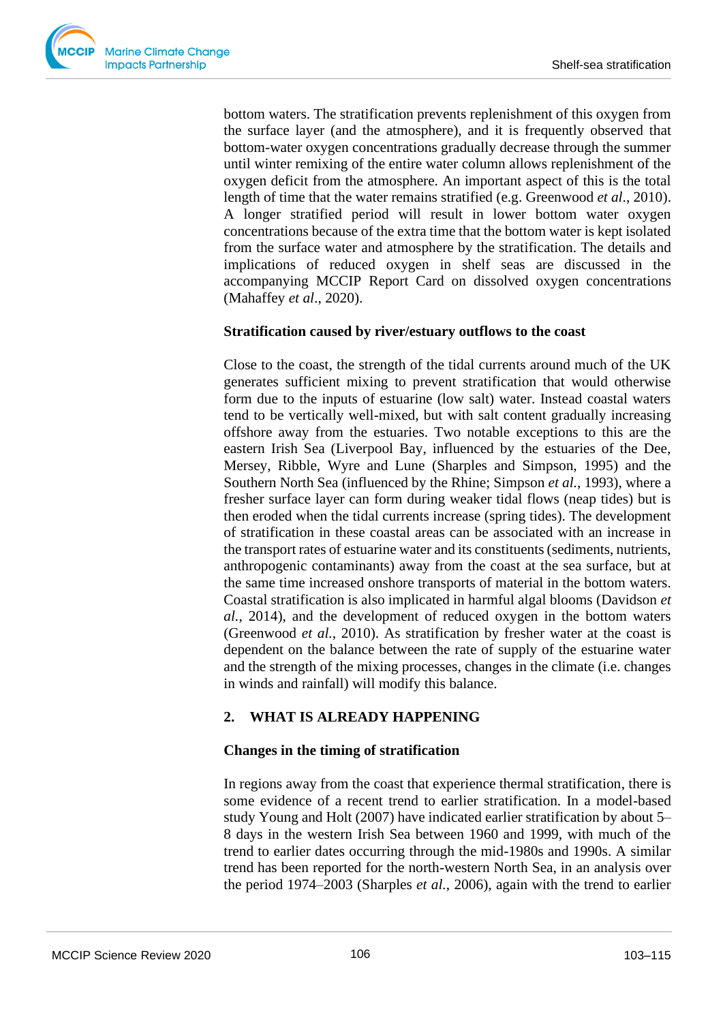bottom waters. The stratification prevents replenishment of this oxygen from the surface layer (and the atmosphere), and it is frequently observed that bottom-water oxygen concentrations gradually decrease through the summer until winter remixing of the entire water column allows replenishment of the oxygen deficit from the atmosphere. An important aspect of this is the total length of time that the water remains stratified (e.g. Greenwood *et al*., 2010). A longer stratified period will result in lower bottom water oxygen concentrations because of the extra time that the bottom water is kept isolated from the surface water and atmosphere by the stratification. The details and implications of reduced oxygen in shelf seas are discussed in the accompanying MCCIP Report Card on dissolved oxygen concentrations (Mahaffey *et al*., 2020).

## **Stratification caused by river/estuary outflows to the coast**

Close to the coast, the strength of the tidal currents around much of the UK generates sufficient mixing to prevent stratification that would otherwise form due to the inputs of estuarine (low salt) water. Instead coastal waters tend to be vertically well-mixed, but with salt content gradually increasing offshore away from the estuaries. Two notable exceptions to this are the eastern Irish Sea (Liverpool Bay, influenced by the estuaries of the Dee, Mersey, Ribble, Wyre and Lune (Sharples and Simpson, 1995) and the Southern North Sea (influenced by the Rhine; Simpson *et al.*, 1993), where a fresher surface layer can form during weaker tidal flows (neap tides) but is then eroded when the tidal currents increase (spring tides). The development of stratification in these coastal areas can be associated with an increase in the transport rates of estuarine water and its constituents (sediments, nutrients, anthropogenic contaminants) away from the coast at the sea surface, but at the same time increased onshore transports of material in the bottom waters. Coastal stratification is also implicated in harmful algal blooms (Davidson *et al.*, 2014), and the development of reduced oxygen in the bottom waters (Greenwood *et al.*, 2010). As stratification by fresher water at the coast is dependent on the balance between the rate of supply of the estuarine water and the strength of the mixing processes, changes in the climate (i.e. changes in winds and rainfall) will modify this balance.

## **2. WHAT IS ALREADY HAPPENING**

## **Changes in the timing of stratification**

In regions away from the coast that experience thermal stratification, there is some evidence of a recent trend to earlier stratification. In a model-based study Young and Holt (2007) have indicated earlier stratification by about 5– 8 days in the western Irish Sea between 1960 and 1999, with much of the trend to earlier dates occurring through the mid-1980s and 1990s. A similar trend has been reported for the north-western North Sea, in an analysis over the period 1974–2003 (Sharples *et al.*, 2006), again with the trend to earlier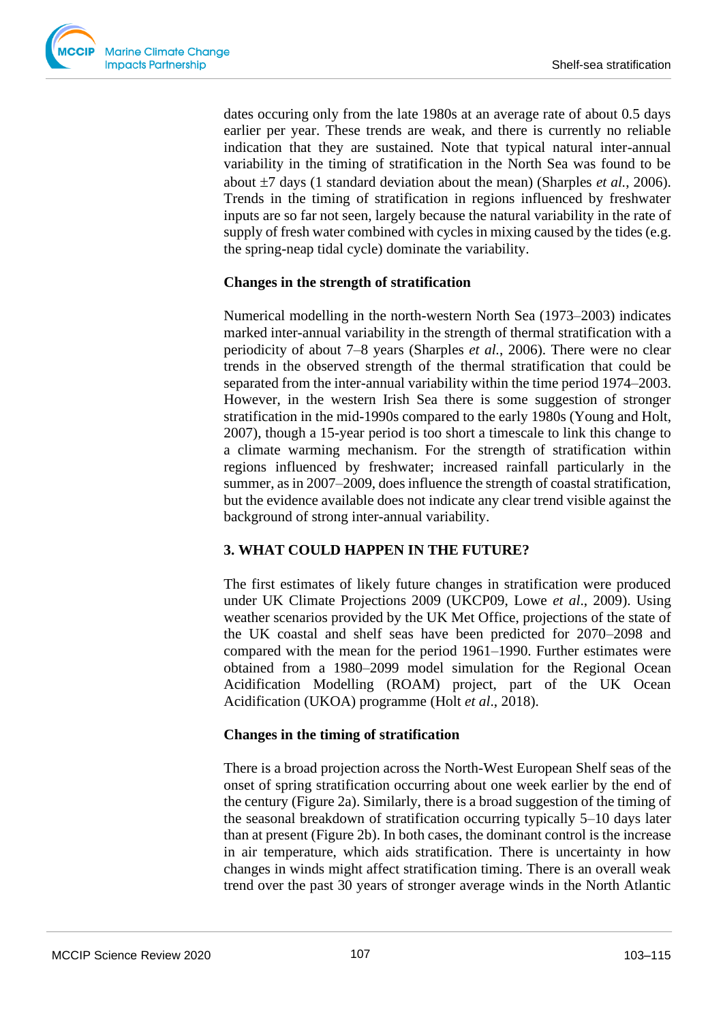dates occuring only from the late 1980s at an average rate of about 0.5 days earlier per year. These trends are weak, and there is currently no reliable indication that they are sustained. Note that typical natural inter-annual variability in the timing of stratification in the North Sea was found to be about  $\pm 7$  days (1 standard deviation about the mean) (Sharples *et al.*, 2006). Trends in the timing of stratification in regions influenced by freshwater inputs are so far not seen, largely because the natural variability in the rate of supply of fresh water combined with cycles in mixing caused by the tides (e.g. the spring-neap tidal cycle) dominate the variability.

#### **Changes in the strength of stratification**

Numerical modelling in the north-western North Sea (1973–2003) indicates marked inter-annual variability in the strength of thermal stratification with a periodicity of about 7–8 years (Sharples *et al.*, 2006). There were no clear trends in the observed strength of the thermal stratification that could be separated from the inter-annual variability within the time period 1974–2003. However, in the western Irish Sea there is some suggestion of stronger stratification in the mid-1990s compared to the early 1980s (Young and Holt, 2007), though a 15-year period is too short a timescale to link this change to a climate warming mechanism. For the strength of stratification within regions influenced by freshwater; increased rainfall particularly in the summer, as in 2007–2009, does influence the strength of coastal stratification, but the evidence available does not indicate any clear trend visible against the background of strong inter-annual variability.

## **3. WHAT COULD HAPPEN IN THE FUTURE?**

The first estimates of likely future changes in stratification were produced under UK Climate Projections 2009 (UKCP09, Lowe *et al*., 2009). Using weather scenarios provided by the UK Met Office, projections of the state of the UK coastal and shelf seas have been predicted for 2070–2098 and compared with the mean for the period 1961–1990. Further estimates were obtained from a 1980–2099 model simulation for the Regional Ocean Acidification Modelling (ROAM) project, part of the UK Ocean Acidification (UKOA) programme (Holt *et al*., 2018).

#### **Changes in the timing of stratification**

There is a broad projection across the North-West European Shelf seas of the onset of spring stratification occurring about one week earlier by the end of the century (Figure 2a). Similarly, there is a broad suggestion of the timing of the seasonal breakdown of stratification occurring typically 5–10 days later than at present (Figure 2b). In both cases, the dominant control is the increase in air temperature, which aids stratification. There is uncertainty in how changes in winds might affect stratification timing. There is an overall weak trend over the past 30 years of stronger average winds in the North Atlantic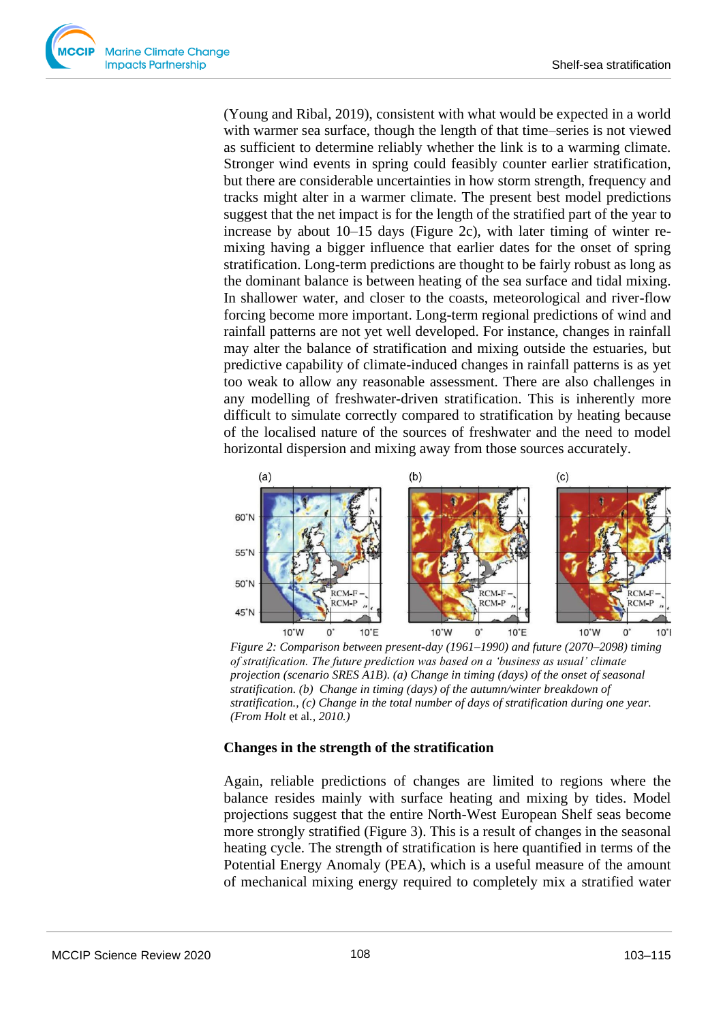(Young and Ribal, 2019), consistent with what would be expected in a world with warmer sea surface, though the length of that time–series is not viewed as sufficient to determine reliably whether the link is to a warming climate. Stronger wind events in spring could feasibly counter earlier stratification, but there are considerable uncertainties in how storm strength, frequency and tracks might alter in a warmer climate. The present best model predictions suggest that the net impact is for the length of the stratified part of the year to increase by about 10–15 days (Figure 2c), with later timing of winter remixing having a bigger influence that earlier dates for the onset of spring stratification. Long-term predictions are thought to be fairly robust as long as the dominant balance is between heating of the sea surface and tidal mixing. In shallower water, and closer to the coasts, meteorological and river-flow forcing become more important. Long-term regional predictions of wind and rainfall patterns are not yet well developed. For instance, changes in rainfall may alter the balance of stratification and mixing outside the estuaries, but predictive capability of climate-induced changes in rainfall patterns is as yet too weak to allow any reasonable assessment. There are also challenges in any modelling of freshwater-driven stratification. This is inherently more difficult to simulate correctly compared to stratification by heating because of the localised nature of the sources of freshwater and the need to model horizontal dispersion and mixing away from those sources accurately.



*Figure 2: Comparison between present-day (1961–1990) and future (2070–2098) timing of stratification. The future prediction was based on a 'business as usual' climate projection (scenario SRES A1B). (a) Change in timing (days) of the onset of seasonal stratification. (b) Change in timing (days) of the autumn/winter breakdown of stratification., (c) Change in the total number of days of stratification during one year. (From Holt* et al*., 2010.)*

#### **Changes in the strength of the stratification**

Again, reliable predictions of changes are limited to regions where the balance resides mainly with surface heating and mixing by tides. Model projections suggest that the entire North-West European Shelf seas become more strongly stratified (Figure 3). This is a result of changes in the seasonal heating cycle. The strength of stratification is here quantified in terms of the Potential Energy Anomaly (PEA), which is a useful measure of the amount of mechanical mixing energy required to completely mix a stratified water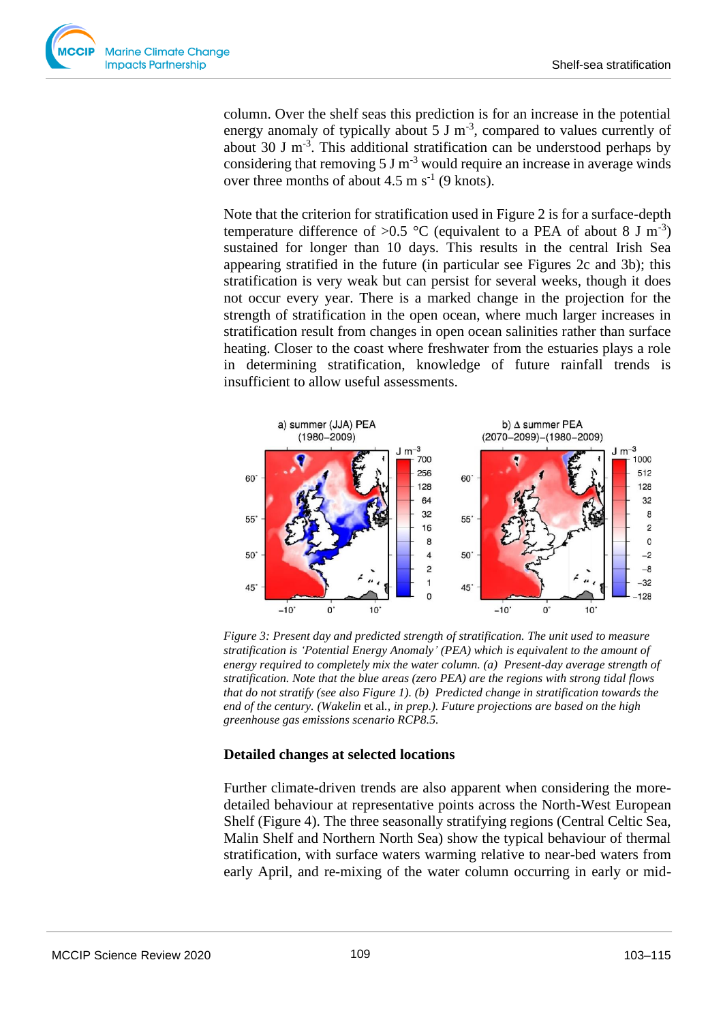

column. Over the shelf seas this prediction is for an increase in the potential energy anomaly of typically about  $5 \text{ J m}^{-3}$ , compared to values currently of about 30 J  $m^{-3}$ . This additional stratification can be understood perhaps by considering that removing 5 J m<sup>-3</sup> would require an increase in average winds over three months of about  $4.5 \text{ m s}^{-1}$  (9 knots).

Note that the criterion for stratification used in Figure 2 is for a surface-depth temperature difference of >0.5 °C (equivalent to a PEA of about 8 J m<sup>-3</sup>) sustained for longer than 10 days. This results in the central Irish Sea appearing stratified in the future (in particular see Figures 2c and 3b); this stratification is very weak but can persist for several weeks, though it does not occur every year. There is a marked change in the projection for the strength of stratification in the open ocean, where much larger increases in stratification result from changes in open ocean salinities rather than surface heating. Closer to the coast where freshwater from the estuaries plays a role in determining stratification, knowledge of future rainfall trends is insufficient to allow useful assessments.



*Figure 3: Present day and predicted strength of stratification. The unit used to measure stratification is 'Potential Energy Anomaly' (PEA) which is equivalent to the amount of energy required to completely mix the water column. (a) Present-day average strength of stratification. Note that the blue areas (zero PEA) are the regions with strong tidal flows that do not stratify (see also Figure 1). (b) Predicted change in stratification towards the end of the century. (Wakelin* et al*., in prep.). Future projections are based on the high greenhouse gas emissions scenario RCP8.5.*

## **Detailed changes at selected locations**

Further climate-driven trends are also apparent when considering the moredetailed behaviour at representative points across the North-West European Shelf (Figure 4). The three seasonally stratifying regions (Central Celtic Sea, Malin Shelf and Northern North Sea) show the typical behaviour of thermal stratification, with surface waters warming relative to near-bed waters from early April, and re-mixing of the water column occurring in early or mid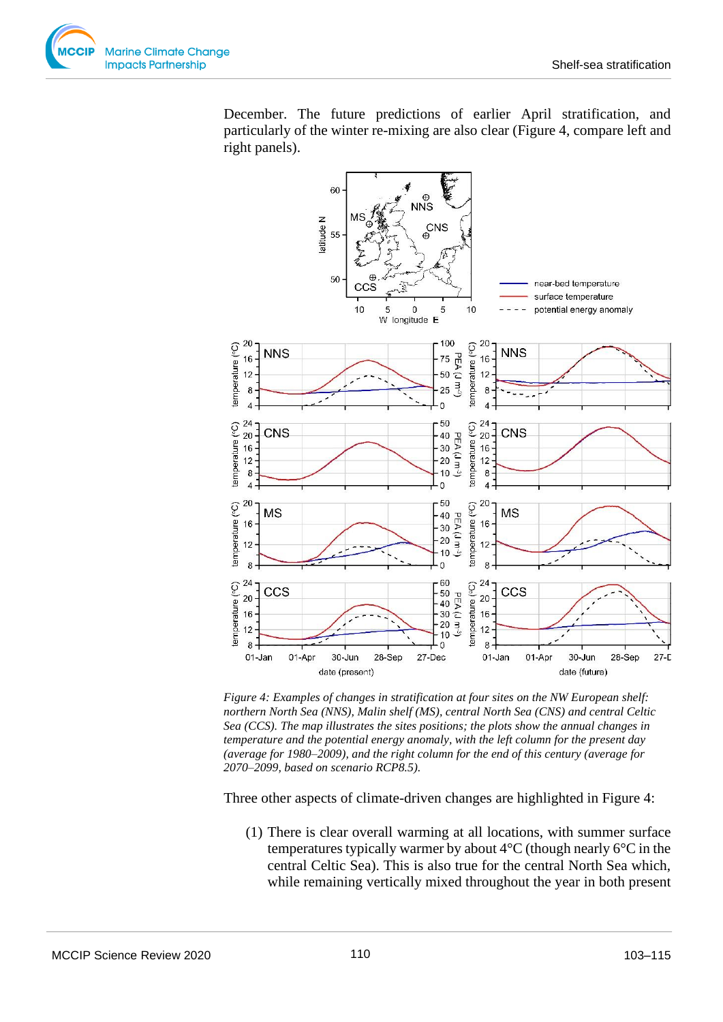December. The future predictions of earlier April stratification, and particularly of the winter re-mixing are also clear (Figure 4, compare left and right panels).



*Figure 4: Examples of changes in stratification at four sites on the NW European shelf: northern North Sea (NNS), Malin shelf (MS), central North Sea (CNS) and central Celtic Sea (CCS). The map illustrates the sites positions; the plots show the annual changes in temperature and the potential energy anomaly, with the left column for the present day (average for 1980–2009), and the right column for the end of this century (average for 2070–2099, based on scenario RCP8.5).*

Three other aspects of climate-driven changes are highlighted in Figure 4:

(1) There is clear overall warming at all locations, with summer surface temperatures typically warmer by about  $4^{\circ}$ C (though nearly  $6^{\circ}$ C in the central Celtic Sea). This is also true for the central North Sea which, while remaining vertically mixed throughout the year in both present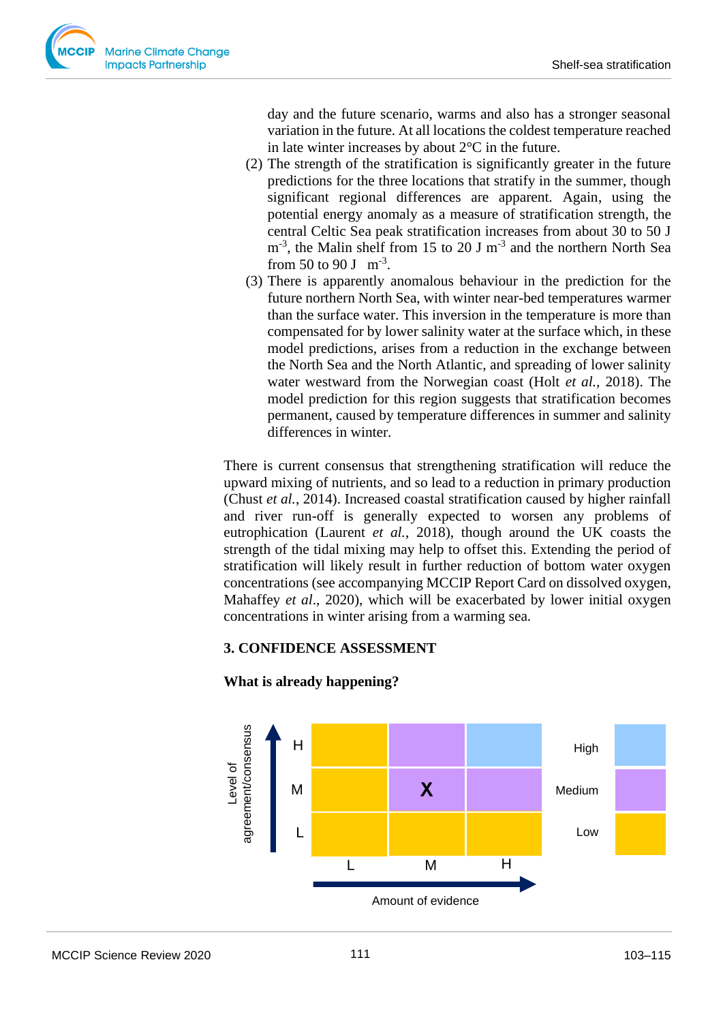

day and the future scenario, warms and also has a stronger seasonal variation in the future. At all locations the coldest temperature reached in late winter increases by about  $2^{\circ}$ C in the future.

- (2) The strength of the stratification is significantly greater in the future predictions for the three locations that stratify in the summer, though significant regional differences are apparent. Again, using the potential energy anomaly as a measure of stratification strength, the central Celtic Sea peak stratification increases from about 30 to 50 J  $m<sup>-3</sup>$ , the Malin shelf from 15 to 20 J  $m<sup>-3</sup>$  and the northern North Sea from 50 to 90 J  $m^{-3}$ .
- (3) There is apparently anomalous behaviour in the prediction for the future northern North Sea, with winter near-bed temperatures warmer than the surface water. This inversion in the temperature is more than compensated for by lower salinity water at the surface which, in these model predictions, arises from a reduction in the exchange between the North Sea and the North Atlantic, and spreading of lower salinity water westward from the Norwegian coast (Holt *et al.,* 2018). The model prediction for this region suggests that stratification becomes permanent, caused by temperature differences in summer and salinity differences in winter.

There is current consensus that strengthening stratification will reduce the upward mixing of nutrients, and so lead to a reduction in primary production (Chust *et al.*, 2014). Increased coastal stratification caused by higher rainfall and river run-off is generally expected to worsen any problems of eutrophication (Laurent *et al.*, 2018), though around the UK coasts the strength of the tidal mixing may help to offset this. Extending the period of stratification will likely result in further reduction of bottom water oxygen concentrations (see accompanying MCCIP Report Card on dissolved oxygen, Mahaffey *et al*., 2020), which will be exacerbated by lower initial oxygen concentrations in winter arising from a warming sea.

# **3. CONFIDENCE ASSESSMENT**



#### **What is already happening?**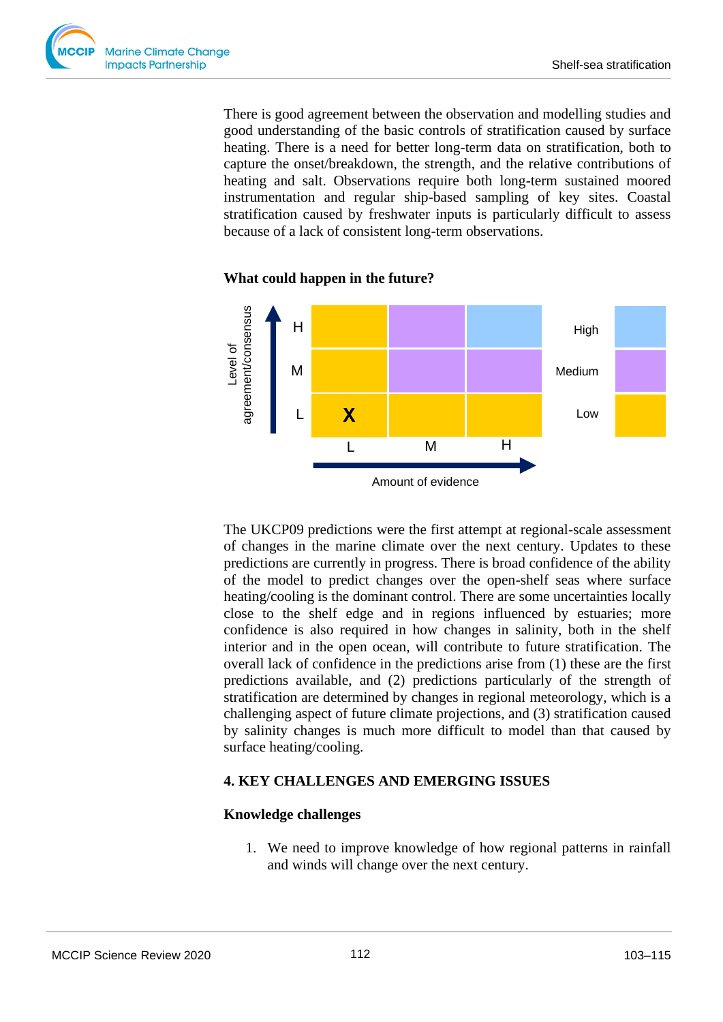

There is good agreement between the observation and modelling studies and good understanding of the basic controls of stratification caused by surface heating. There is a need for better long-term data on stratification, both to capture the onset/breakdown, the strength, and the relative contributions of heating and salt. Observations require both long-term sustained moored instrumentation and regular ship-based sampling of key sites. Coastal stratification caused by freshwater inputs is particularly difficult to assess because of a lack of consistent long-term observations.

#### **What could happen in the future?**



The UKCP09 predictions were the first attempt at regional-scale assessment of changes in the marine climate over the next century. Updates to these predictions are currently in progress. There is broad confidence of the ability of the model to predict changes over the open-shelf seas where surface heating/cooling is the dominant control. There are some uncertainties locally close to the shelf edge and in regions influenced by estuaries; more confidence is also required in how changes in salinity, both in the shelf interior and in the open ocean, will contribute to future stratification. The overall lack of confidence in the predictions arise from (1) these are the first predictions available, and (2) predictions particularly of the strength of stratification are determined by changes in regional meteorology, which is a challenging aspect of future climate projections, and (3) stratification caused by salinity changes is much more difficult to model than that caused by surface heating/cooling.

#### **4. KEY CHALLENGES AND EMERGING ISSUES**

#### **Knowledge challenges**

1. We need to improve knowledge of how regional patterns in rainfall and winds will change over the next century.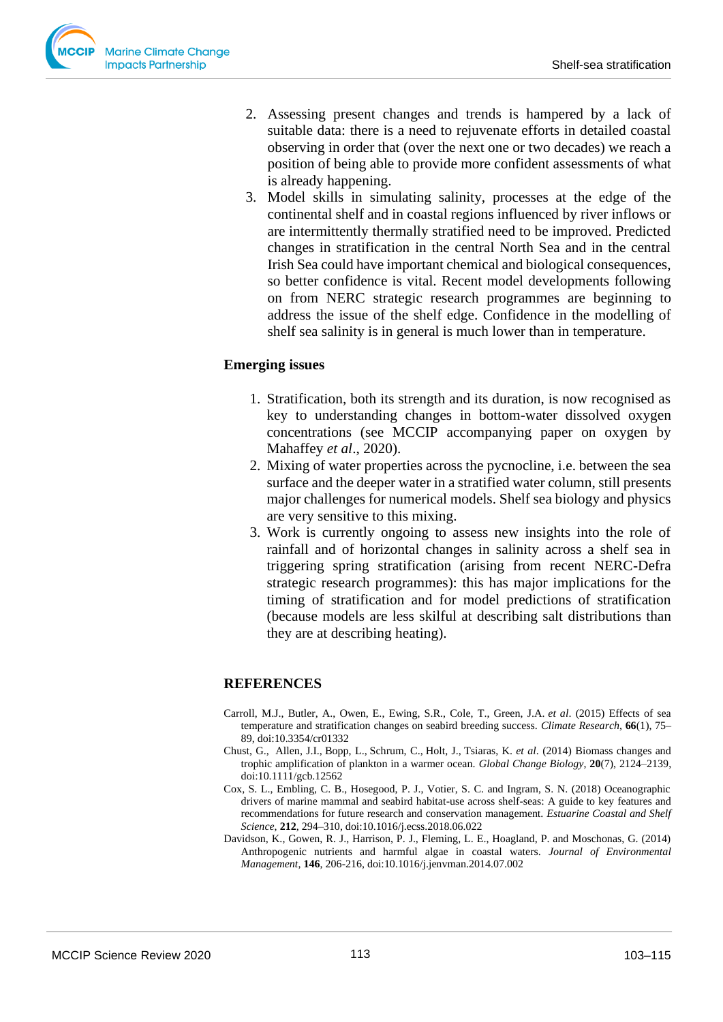- 2. Assessing present changes and trends is hampered by a lack of suitable data: there is a need to rejuvenate efforts in detailed coastal observing in order that (over the next one or two decades) we reach a position of being able to provide more confident assessments of what is already happening.
- 3. Model skills in simulating salinity, processes at the edge of the continental shelf and in coastal regions influenced by river inflows or are intermittently thermally stratified need to be improved. Predicted changes in stratification in the central North Sea and in the central Irish Sea could have important chemical and biological consequences, so better confidence is vital. Recent model developments following on from NERC strategic research programmes are beginning to address the issue of the shelf edge. Confidence in the modelling of shelf sea salinity is in general is much lower than in temperature.

# **Emerging issues**

- 1. Stratification, both its strength and its duration, is now recognised as key to understanding changes in bottom-water dissolved oxygen concentrations (see MCCIP accompanying paper on oxygen by Mahaffey *et al*., 2020).
- 2. Mixing of water properties across the pycnocline, i.e. between the sea surface and the deeper water in a stratified water column, still presents major challenges for numerical models. Shelf sea biology and physics are very sensitive to this mixing.
- 3. Work is currently ongoing to assess new insights into the role of rainfall and of horizontal changes in salinity across a shelf sea in triggering spring stratification (arising from recent NERC-Defra strategic research programmes): this has major implications for the timing of stratification and for model predictions of stratification (because models are less skilful at describing salt distributions than they are at describing heating).

# **REFERENCES**

- Carroll, M.J., Butler, A., Owen, E., Ewing, S.R., Cole, T., Green, J.A. *et al*. (2015) Effects of sea temperature and stratification changes on seabird breeding success. *Climate Research*, **66**(1), 75– 89, doi:10.3354/cr01332
- Chust, G., [Allen, J.I.](https://www.ncbi.nlm.nih.gov/pubmed/?term=Allen%20JI%5BAuthor%5D&cauthor=true&cauthor_uid=24604761), [Bopp, L.](https://www.ncbi.nlm.nih.gov/pubmed/?term=Bopp%20L%5BAuthor%5D&cauthor=true&cauthor_uid=24604761), [Schrum, C.](https://www.ncbi.nlm.nih.gov/pubmed/?term=Schrum%20C%5BAuthor%5D&cauthor=true&cauthor_uid=24604761), [Holt, J.,](https://www.ncbi.nlm.nih.gov/pubmed/?term=Holt%20J%5BAuthor%5D&cauthor=true&cauthor_uid=24604761) [Tsiaras, K.](https://www.ncbi.nlm.nih.gov/pubmed/?term=Tsiaras%20K%5BAuthor%5D&cauthor=true&cauthor_uid=24604761) *et al*. (2014) Biomass changes and trophic amplification of plankton in a warmer ocean. *Global Change Biology*, **20**(7), 2124–2139, doi:10.1111/gcb.12562
- Cox, S. L., Embling, C. B., Hosegood, P. J., Votier, S. C. and Ingram, S. N. (2018) Oceanographic drivers of marine mammal and seabird habitat-use across shelf-seas: A guide to key features and recommendations for future research and conservation management. *Estuarine Coastal and Shelf Science*, **212**, 294–310, doi:10.1016/j.ecss.2018.06.022
- Davidson, K., Gowen, R. J., Harrison, P. J., Fleming, L. E., Hoagland, P. and Moschonas, G. (2014) Anthropogenic nutrients and harmful algae in coastal waters. *Journal of Environmental Management*, **146**, 206-216, doi:10.1016/j.jenvman.2014.07.002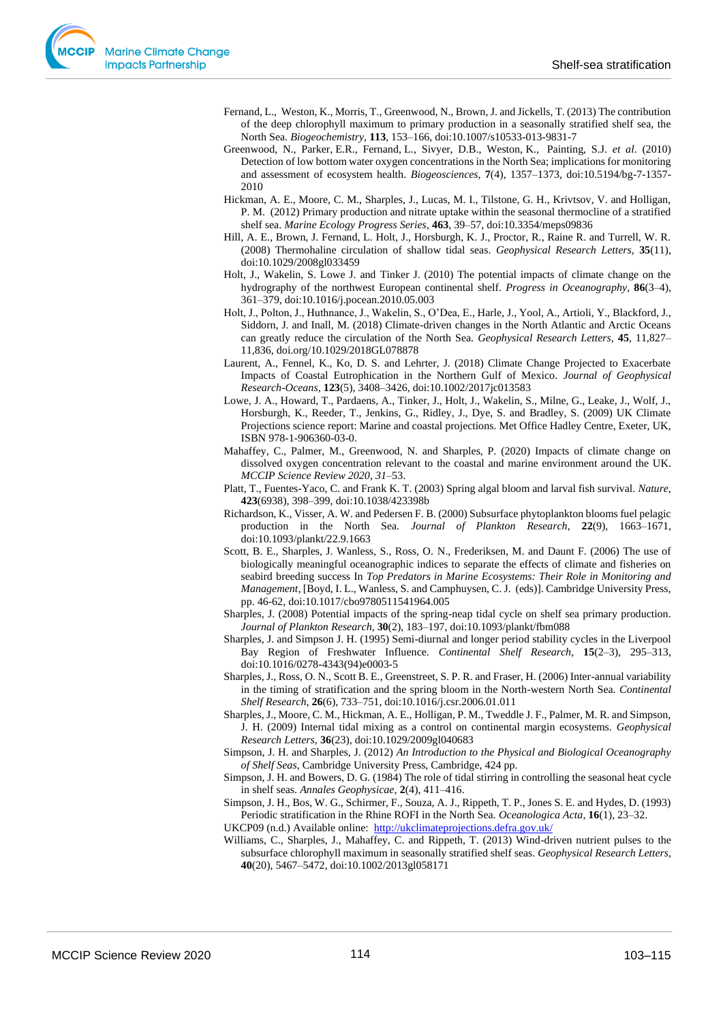- Fernand, L., Weston, K., Morris, T., Greenwood, N., Brown, J. and Jickells, T. (2013) The contribution of the deep chlorophyll maximum to primary production in a seasonally stratified shelf sea, the North Sea. *Biogeochemistry,* **113**, 153–166, doi:10.1007/s10533-013-9831-7
- Greenwood, N., Parker, E.R., Fernand, L., Sivyer, D.B., Weston, K., Painting, S.J. *et al*. (2010) Detection of low bottom water oxygen concentrations in the North Sea; implications for monitoring and assessment of ecosystem health. *Biogeosciences*, **7**(4), 1357–1373, doi:10.5194/bg-7-1357- 2010
- Hickman, A. E., Moore, C. M., Sharples, J., Lucas, M. I., Tilstone, G. H., Krivtsov, V. and Holligan, P. M. (2012) Primary production and nitrate uptake within the seasonal thermocline of a stratified shelf sea. *Marine Ecology Progress Series*, **463**, 39–57, doi:10.3354/meps09836
- Hill, A. E., Brown, J. Fernand, L. Holt, J., Horsburgh, K. J., Proctor, R., Raine R. and Turrell, W. R. (2008) Thermohaline circulation of shallow tidal seas. *Geophysical Research Letters*, **35**(11), doi:10.1029/2008gl033459
- Holt, J., Wakelin, S. Lowe J. and Tinker J. (2010) The potential impacts of climate change on the hydrography of the northwest European continental shelf. *Progress in Oceanography*, **86**(3–4), 361–379, doi:10.1016/j.pocean.2010.05.003
- Holt, J., Polton, J., Huthnance, J., Wakelin, S., O'Dea, E., Harle, J., Yool, A., Artioli, Y., Blackford, J., Siddorn, J. and Inall, M. (2018) Climate-driven changes in the North Atlantic and Arctic Oceans can greatly reduce the circulation of the North Sea. *Geophysical Research Letters,* **45**, 11,827– 11,836, doi.org/10.1029/2018GL078878
- Laurent, A., Fennel, K., Ko, D. S. and Lehrter, J. (2018) Climate Change Projected to Exacerbate Impacts of Coastal Eutrophication in the Northern Gulf of Mexico. *Journal of Geophysical Research-Oceans*, **123**(5), 3408–3426, doi:10.1002/2017jc013583
- Lowe, J. A., Howard, T., Pardaens, A., Tinker, J., Holt, J., Wakelin, S., Milne, G., Leake, J., Wolf, J., Horsburgh, K., Reeder, T., Jenkins, G., Ridley, J., Dye, S. and Bradley, S. (2009) UK Climate Projections science report: Marine and coastal projections. Met Office Hadley Centre, Exeter, UK, ISBN 978-1-906360-03-0.
- Mahaffey, C., Palmer, M., Greenwood, N. and Sharples, P. (2020) Impacts of climate change on dissolved oxygen concentration relevant to the coastal and marine environment around the UK. *MCCIP Science Review 2020, 31*–53.
- Platt, T., Fuentes-Yaco, C. and Frank K. T. (2003) Spring algal bloom and larval fish survival. *Nature*, **423**(6938), 398–399, doi:10.1038/423398b
- Richardson, K., Visser, A. W. and Pedersen F. B. (2000) Subsurface phytoplankton blooms fuel pelagic production in the North Sea. *Journal of Plankton Research*, **22**(9), 1663–1671, doi:10.1093/plankt/22.9.1663
- Scott, B. E., Sharples, J. Wanless, S., Ross, O. N., Frederiksen, M. and Daunt F. (2006) The use of biologically meaningful oceanographic indices to separate the effects of climate and fisheries on seabird breeding success In *Top Predators in Marine Ecosystems: Their Role in Monitoring and Management*, [Boyd, I. L., Wanless, S. and Camphuysen, C. J. (eds)]. Cambridge University Press, pp. 46-62, doi:10.1017/cbo9780511541964.005
- Sharples, J. (2008) Potential impacts of the spring-neap tidal cycle on shelf sea primary production. *Journal of Plankton Research*, **30**(2), 183–197, doi:10.1093/plankt/fbm088
- Sharples, J. and Simpson J. H. (1995) Semi-diurnal and longer period stability cycles in the Liverpool Bay Region of Freshwater Influence. *Continental Shelf Research*, **15**(2–3), 295–313, doi:10.1016/0278-4343(94)e0003-5
- Sharples, J., Ross, O. N., Scott B. E., Greenstreet, S. P. R. and Fraser, H. (2006) Inter-annual variability in the timing of stratification and the spring bloom in the North-western North Sea. *Continental Shelf Research*, **26**(6), 733–751, doi:10.1016/j.csr.2006.01.011
- Sharples, J., Moore, C. M., Hickman, A. E., Holligan, P. M., Tweddle J. F., Palmer, M. R. and Simpson, J. H. (2009) Internal tidal mixing as a control on continental margin ecosystems. *Geophysical Research Letters*, **36**(23), doi:10.1029/2009gl040683
- Simpson, J. H. and Sharples, J. (2012) *An Introduction to the Physical and Biological Oceanography of Shelf Seas*, Cambridge University Press, Cambridge, 424 pp.
- Simpson, J. H. and Bowers, D. G. (1984) The role of tidal stirring in controlling the seasonal heat cycle in shelf seas. *Annales Geophysicae*, **2**(4), 411–416.
- Simpson, J. H., Bos, W. G., Schirmer, F., Souza, A. J., Rippeth, T. P., Jones S. E. and Hydes, D. (1993) Periodic stratification in the Rhine ROFI in the North Sea. *Oceanologica Acta*, **16**(1), 23–32.

UKCP09 (n.d.) Available online: <http://ukclimateprojections.defra.gov.uk/>

Williams, C., Sharples, J., Mahaffey, C. and Rippeth, T. (2013) Wind-driven nutrient pulses to the subsurface chlorophyll maximum in seasonally stratified shelf seas. *Geophysical Research Letters*, **40**(20), 5467–5472, doi:10.1002/2013gl058171